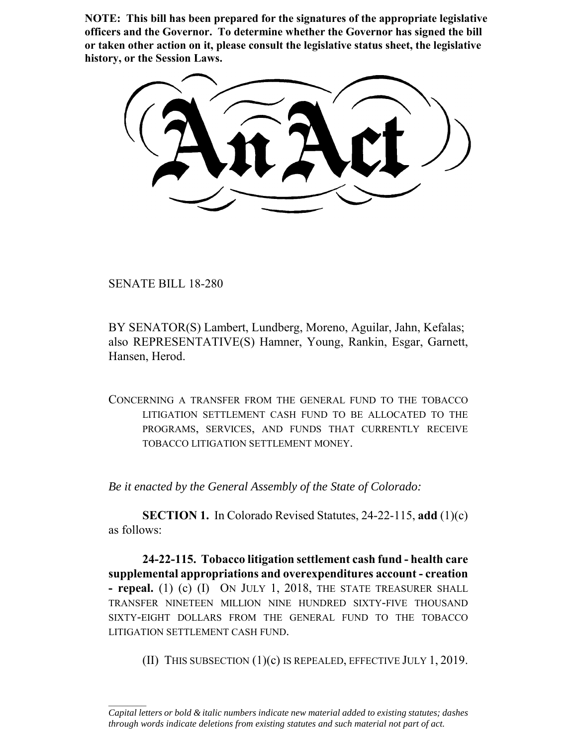**NOTE: This bill has been prepared for the signatures of the appropriate legislative officers and the Governor. To determine whether the Governor has signed the bill or taken other action on it, please consult the legislative status sheet, the legislative history, or the Session Laws.**

SENATE BILL 18-280

BY SENATOR(S) Lambert, Lundberg, Moreno, Aguilar, Jahn, Kefalas; also REPRESENTATIVE(S) Hamner, Young, Rankin, Esgar, Garnett, Hansen, Herod.

CONCERNING A TRANSFER FROM THE GENERAL FUND TO THE TOBACCO LITIGATION SETTLEMENT CASH FUND TO BE ALLOCATED TO THE PROGRAMS, SERVICES, AND FUNDS THAT CURRENTLY RECEIVE TOBACCO LITIGATION SETTLEMENT MONEY.

*Be it enacted by the General Assembly of the State of Colorado:*

**SECTION 1.** In Colorado Revised Statutes, 24-22-115, **add** (1)(c) as follows:

**24-22-115. Tobacco litigation settlement cash fund - health care supplemental appropriations and overexpenditures account - creation - repeal.** (1) (c) (I) ON JULY 1, 2018, THE STATE TREASURER SHALL TRANSFER NINETEEN MILLION NINE HUNDRED SIXTY-FIVE THOUSAND SIXTY-EIGHT DOLLARS FROM THE GENERAL FUND TO THE TOBACCO LITIGATION SETTLEMENT CASH FUND.

(II) THIS SUBSECTION (1)(c) IS REPEALED, EFFECTIVE JULY 1, 2019.

 $\frac{1}{2}$ *Capital letters or bold & italic numbers indicate new material added to existing statutes; dashes through words indicate deletions from existing statutes and such material not part of act.*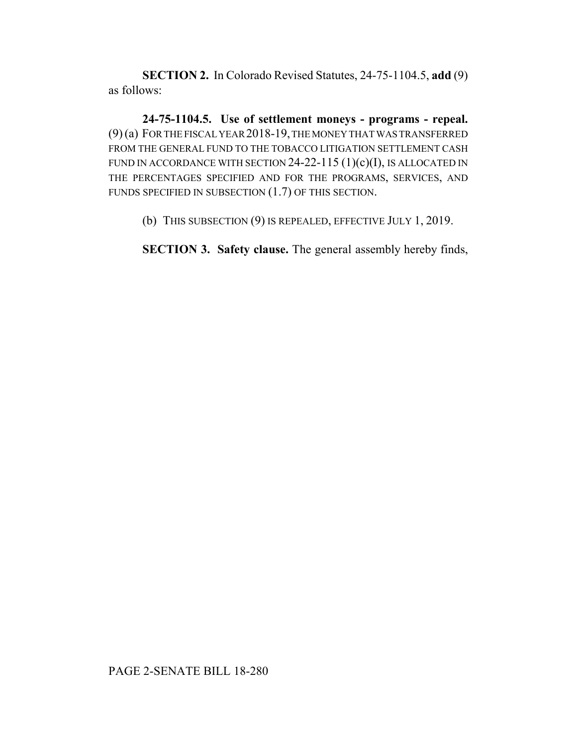**SECTION 2.** In Colorado Revised Statutes, 24-75-1104.5, **add** (9) as follows:

**24-75-1104.5. Use of settlement moneys - programs - repeal.** (9) (a) FOR THE FISCAL YEAR 2018-19, THE MONEY THAT WAS TRANSFERRED FROM THE GENERAL FUND TO THE TOBACCO LITIGATION SETTLEMENT CASH FUND IN ACCORDANCE WITH SECTION  $24-22-115(1)(c)(I)$ , IS ALLOCATED IN THE PERCENTAGES SPECIFIED AND FOR THE PROGRAMS, SERVICES, AND FUNDS SPECIFIED IN SUBSECTION (1.7) OF THIS SECTION.

(b) THIS SUBSECTION (9) IS REPEALED, EFFECTIVE JULY 1, 2019.

**SECTION 3. Safety clause.** The general assembly hereby finds,